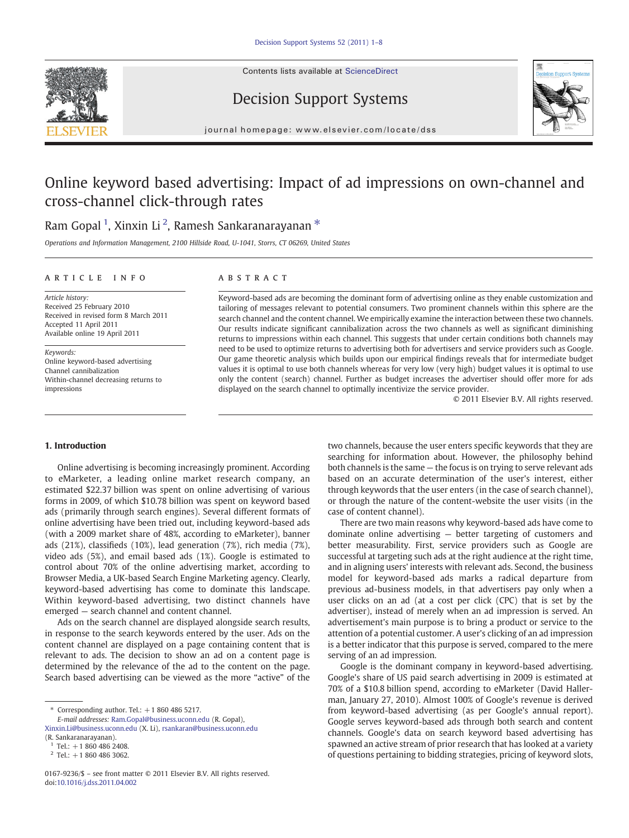Contents lists available at [ScienceDirect](http://www.sciencedirect.com/science/journal/01679236)







journal homepage: www.elsevier.com/locate/dss

## Online keyword based advertising: Impact of ad impressions on own-channel and cross-channel click-through rates

### Ram Gopal <sup>1</sup>, Xinxin Li <sup>2</sup>, Ramesh Sankaranarayanan  $^\ast$

Operations and Information Management, 2100 Hillside Road, U-1041, Storrs, CT 06269, United States

### article info abstract

Article history: Received 25 February 2010 Received in revised form 8 March 2011 Accepted 11 April 2011 Available online 19 April 2011

Keywords: Online keyword-based advertising Channel cannibalization Within-channel decreasing returns to impressions

Keyword-based ads are becoming the dominant form of advertising online as they enable customization and tailoring of messages relevant to potential consumers. Two prominent channels within this sphere are the search channel and the content channel. We empirically examine the interaction between these two channels. Our results indicate significant cannibalization across the two channels as well as significant diminishing returns to impressions within each channel. This suggests that under certain conditions both channels may need to be used to optimize returns to advertising both for advertisers and service providers such as Google. Our game theoretic analysis which builds upon our empirical findings reveals that for intermediate budget values it is optimal to use both channels whereas for very low (very high) budget values it is optimal to use only the content (search) channel. Further as budget increases the advertiser should offer more for ads displayed on the search channel to optimally incentivize the service provider.

© 2011 Elsevier B.V. All rights reserved.

#### 1. Introduction

Online advertising is becoming increasingly prominent. According to eMarketer, a leading online market research company, an estimated \$22.37 billion was spent on online advertising of various forms in 2009, of which \$10.78 billion was spent on keyword based ads (primarily through search engines). Several different formats of online advertising have been tried out, including keyword-based ads (with a 2009 market share of 48%, according to eMarketer), banner ads (21%), classifieds (10%), lead generation (7%), rich media (7%), video ads (5%), and email based ads (1%). Google is estimated to control about 70% of the online advertising market, according to Browser Media, a UK-based Search Engine Marketing agency. Clearly, keyword-based advertising has come to dominate this landscape. Within keyword-based advertising, two distinct channels have emerged — search channel and content channel.

Ads on the search channel are displayed alongside search results, in response to the search keywords entered by the user. Ads on the content channel are displayed on a page containing content that is relevant to ads. The decision to show an ad on a content page is determined by the relevance of the ad to the content on the page. Search based advertising can be viewed as the more "active" of the

two channels, because the user enters specific keywords that they are searching for information about. However, the philosophy behind both channels is the same — the focus is on trying to serve relevant ads based on an accurate determination of the user's interest, either through keywords that the user enters (in the case of search channel), or through the nature of the content-website the user visits (in the case of content channel).

There are two main reasons why keyword-based ads have come to dominate online advertising — better targeting of customers and better measurability. First, service providers such as Google are successful at targeting such ads at the right audience at the right time, and in aligning users' interests with relevant ads. Second, the business model for keyword-based ads marks a radical departure from previous ad-business models, in that advertisers pay only when a user clicks on an ad (at a cost per click (CPC) that is set by the advertiser), instead of merely when an ad impression is served. An advertisement's main purpose is to bring a product or service to the attention of a potential customer. A user's clicking of an ad impression is a better indicator that this purpose is served, compared to the mere serving of an ad impression.

Google is the dominant company in keyword-based advertising. Google's share of US paid search advertising in 2009 is estimated at 70% of a \$10.8 billion spend, according to eMarketer (David Hallerman, January 27, 2010). Almost 100% of Google's revenue is derived from keyword-based advertising (as per Google's annual report). Google serves keyword-based ads through both search and content channels. Google's data on search keyword based advertising has spawned an active stream of prior research that has looked at a variety of questions pertaining to bidding strategies, pricing of keyword slots,

Corresponding author. Tel.:  $+18604865217$ .

E-mail addresses: [Ram.Gopal@business.uconn.edu](mailto:Ram.Gopal@business.uconn.edu) (R. Gopal), [Xinxin.Li@business.uconn.edu](mailto:Xinxin.Li@business.uconn.edu) (X. Li), [rsankaran@business.uconn.edu](mailto:rsankaran@business.uconn.edu)

<sup>(</sup>R. Sankaranarayanan).

 $1$  Tel.: +1 860 486 2408.

 $2$  Tel.: +1 860 486 3062.

<sup>0167-9236/\$</sup> – see front matter © 2011 Elsevier B.V. All rights reserved. doi:[10.1016/j.dss.2011.04.002](http://dx.doi.org/10.1016/j.dss.2011.04.002)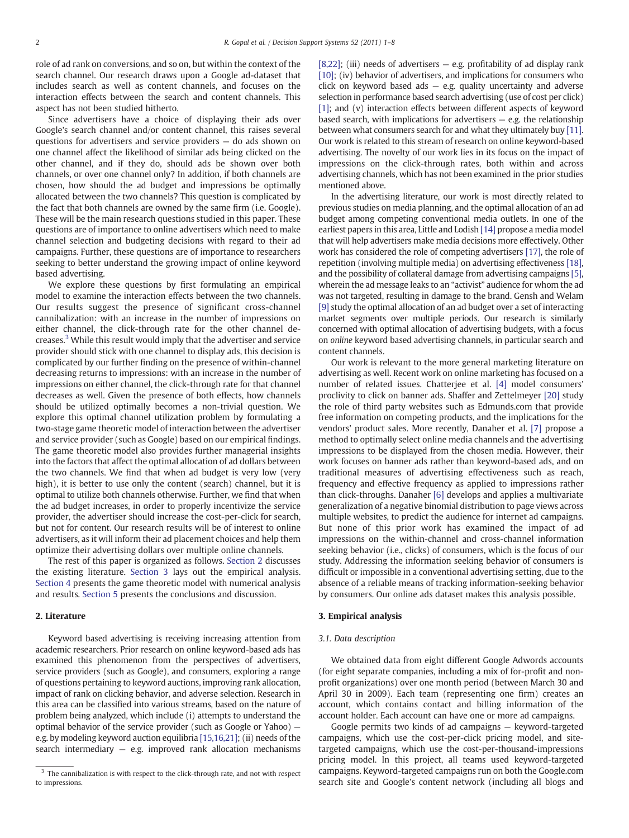role of ad rank on conversions, and so on, but within the context of the search channel. Our research draws upon a Google ad-dataset that includes search as well as content channels, and focuses on the interaction effects between the search and content channels. This aspect has not been studied hitherto.

Since advertisers have a choice of displaying their ads over Google's search channel and/or content channel, this raises several questions for advertisers and service providers — do ads shown on one channel affect the likelihood of similar ads being clicked on the other channel, and if they do, should ads be shown over both channels, or over one channel only? In addition, if both channels are chosen, how should the ad budget and impressions be optimally allocated between the two channels? This question is complicated by the fact that both channels are owned by the same firm (i.e. Google). These will be the main research questions studied in this paper. These questions are of importance to online advertisers which need to make channel selection and budgeting decisions with regard to their ad campaigns. Further, these questions are of importance to researchers seeking to better understand the growing impact of online keyword based advertising.

We explore these questions by first formulating an empirical model to examine the interaction effects between the two channels. Our results suggest the presence of significant cross-channel cannibalization: with an increase in the number of impressions on either channel, the click-through rate for the other channel de $c$ reases.<sup>3</sup> While this result would imply that the advertiser and service provider should stick with one channel to display ads, this decision is complicated by our further finding on the presence of within-channel decreasing returns to impressions: with an increase in the number of impressions on either channel, the click-through rate for that channel decreases as well. Given the presence of both effects, how channels should be utilized optimally becomes a non-trivial question. We explore this optimal channel utilization problem by formulating a two-stage game theoretic model of interaction between the advertiser and service provider (such as Google) based on our empirical findings. The game theoretic model also provides further managerial insights into the factors that affect the optimal allocation of ad dollars between the two channels. We find that when ad budget is very low (very high), it is better to use only the content (search) channel, but it is optimal to utilize both channels otherwise. Further, we find that when the ad budget increases, in order to properly incentivize the service provider, the advertiser should increase the cost-per-click for search, but not for content. Our research results will be of interest to online advertisers, as it will inform their ad placement choices and help them optimize their advertising dollars over multiple online channels.

The rest of this paper is organized as follows. Section 2 discusses the existing literature. Section 3 lays out the empirical analysis. [Section 4](#page--1-0) presents the game theoretic model with numerical analysis and results. [Section 5](#page--1-0) presents the conclusions and discussion.

#### 2. Literature

Keyword based advertising is receiving increasing attention from academic researchers. Prior research on online keyword-based ads has examined this phenomenon from the perspectives of advertisers, service providers (such as Google), and consumers, exploring a range of questions pertaining to keyword auctions, improving rank allocation, impact of rank on clicking behavior, and adverse selection. Research in this area can be classified into various streams, based on the nature of problem being analyzed, which include (i) attempts to understand the optimal behavior of the service provider (such as Google or Yahoo) e.g. by modeling keyword auction equilibria [\[15,16,21\];](#page--1-0) (ii) needs of the search intermediary  $-$  e.g. improved rank allocation mechanisms

[\[8,22\]](#page--1-0); (iii) needs of advertisers  $-$  e.g. profitability of ad display rank [\[10\]](#page--1-0); (iv) behavior of advertisers, and implications for consumers who click on keyword based ads  $-$  e.g. quality uncertainty and adverse selection in performance based search advertising (use of cost per click) [\[1\];](#page--1-0) and (v) interaction effects between different aspects of keyword based search, with implications for advertisers  $-$  e.g. the relationship between what consumers search for and what they ultimately buy [\[11\].](#page--1-0) Our work is related to this stream of research on online keyword-based advertising. The novelty of our work lies in its focus on the impact of impressions on the click-through rates, both within and across advertising channels, which has not been examined in the prior studies mentioned above.

In the advertising literature, our work is most directly related to previous studies on media planning, and the optimal allocation of an ad budget among competing conventional media outlets. In one of the earliest papers in this area, Little and Lodish [\[14\]](#page--1-0) propose a media model that will help advertisers make media decisions more effectively. Other work has considered the role of competing advertisers [\[17\]](#page--1-0), the role of repetition (involving multiple media) on advertising effectiveness [\[18\],](#page--1-0) and the possibility of collateral damage from advertising campaigns [\[5\],](#page--1-0) wherein the ad message leaks to an "activist" audience for whom the ad was not targeted, resulting in damage to the brand. Gensh and Welam [\[9\]](#page--1-0) study the optimal allocation of an ad budget over a set of interacting market segments over multiple periods. Our research is similarly concerned with optimal allocation of advertising budgets, with a focus on online keyword based advertising channels, in particular search and content channels.

Our work is relevant to the more general marketing literature on advertising as well. Recent work on online marketing has focused on a number of related issues. Chatterjee et al. [\[4\]](#page--1-0) model consumers' proclivity to click on banner ads. Shaffer and Zettelmeyer [\[20\]](#page--1-0) study the role of third party websites such as Edmunds.com that provide free information on competing products, and the implications for the vendors' product sales. More recently, Danaher et al. [\[7\]](#page--1-0) propose a method to optimally select online media channels and the advertising impressions to be displayed from the chosen media. However, their work focuses on banner ads rather than keyword-based ads, and on traditional measures of advertising effectiveness such as reach, frequency and effective frequency as applied to impressions rather than click-throughs. Danaher [\[6\]](#page--1-0) develops and applies a multivariate generalization of a negative binomial distribution to page views across multiple websites, to predict the audience for internet ad campaigns. But none of this prior work has examined the impact of ad impressions on the within-channel and cross-channel information seeking behavior (i.e., clicks) of consumers, which is the focus of our study. Addressing the information seeking behavior of consumers is difficult or impossible in a conventional advertising setting, due to the absence of a reliable means of tracking information-seeking behavior by consumers. Our online ads dataset makes this analysis possible.

#### 3. Empirical analysis

#### 3.1. Data description

We obtained data from eight different Google Adwords accounts (for eight separate companies, including a mix of for-profit and nonprofit organizations) over one month period (between March 30 and April 30 in 2009). Each team (representing one firm) creates an account, which contains contact and billing information of the account holder. Each account can have one or more ad campaigns.

Google permits two kinds of ad campaigns — keyword-targeted campaigns, which use the cost-per-click pricing model, and sitetargeted campaigns, which use the cost-per-thousand-impressions pricing model. In this project, all teams used keyword-targeted campaigns. Keyword-targeted campaigns run on both the Google.com search site and Google's content network (including all blogs and

 $3$  The cannibalization is with respect to the click-through rate, and not with respect to impressions.